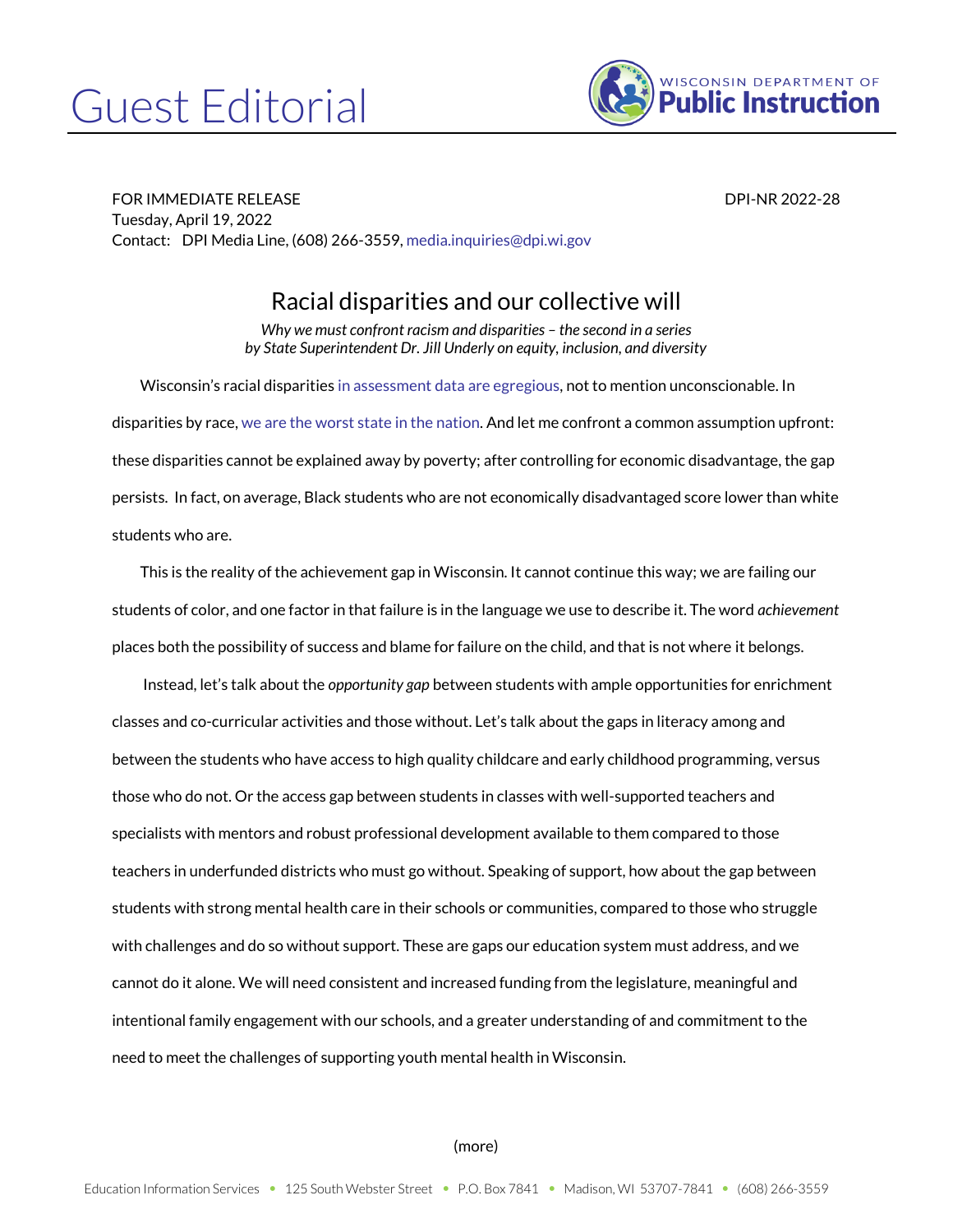## Guest Editorial



FOR IMMEDIATE RELEASE DPI-NR 2022-28 Tuesday, April 19, 2022 Contact: DPI Media Line, (608) 266-3559[, media.inquiries@dpi.wi.gov](mailto:media.inquiries@dpi.wi.gov)

## Racial disparities and our collective will

*Why we must confront racism and disparities – the second in a series by State Superintendent Dr. Jill Underly on equity, inclusion, and diversity*

Wisconsin's racial disparities [in assessment data are egregious,](https://wisedash.dpi.wi.gov/Dashboard/dashboard/19948?filtersetId=c89abea4-003c-4ab9-9ca1-67521c2be139) not to mention unconscionable. In disparities by race[, we are the worst state in the nation.](https://www.nationsreportcard.gov/profiles/stateprofile/overview/WI?cti=PgTab_GapComparisons&chort=1&sub=RED&sj=WI&fs=Grade&st=MN&year=2019R3&sg=Race%2FEthnicity%3A+White+vs.+Black&sgv=Difference&sgvs=desc&ts=Single+Year&tss=2019R3&sfj=NP) And let me confront a common assumption upfront: these disparities cannot be explained away by poverty; after controlling for economic disadvantage, the gap persists. In fact, on average, Black students who are not economically disadvantaged score lower than white students who are.

This is the reality of the achievement gap in Wisconsin. It cannot continue this way; we are failing our students of color, and one factor in that failure is in the language we use to describe it. The word *achievement* places both the possibility of success and blame for failure on the child, and that is not where it belongs.

Instead, let's talk about the *opportunity gap* between students with ample opportunities for enrichment classes and co-curricular activities and those without. Let's talk about the gaps in literacy among and between the students who have access to high quality childcare and early childhood programming, versus those who do not. Or the access gap between students in classes with well-supported teachers and specialists with mentors and robust professional development available to them compared to those teachers in underfunded districts who must go without. Speaking of support, how about the gap between students with strong mental health care in their schools or communities, compared to those who struggle with challenges and do so without support. These are gaps our education system must address, and we cannot do it alone. We will need consistent and increased funding from the legislature, meaningful and intentional family engagement with our schools, and a greater understanding of and commitment to the need to meet the challenges of supporting youth mental health in Wisconsin.

## (more)